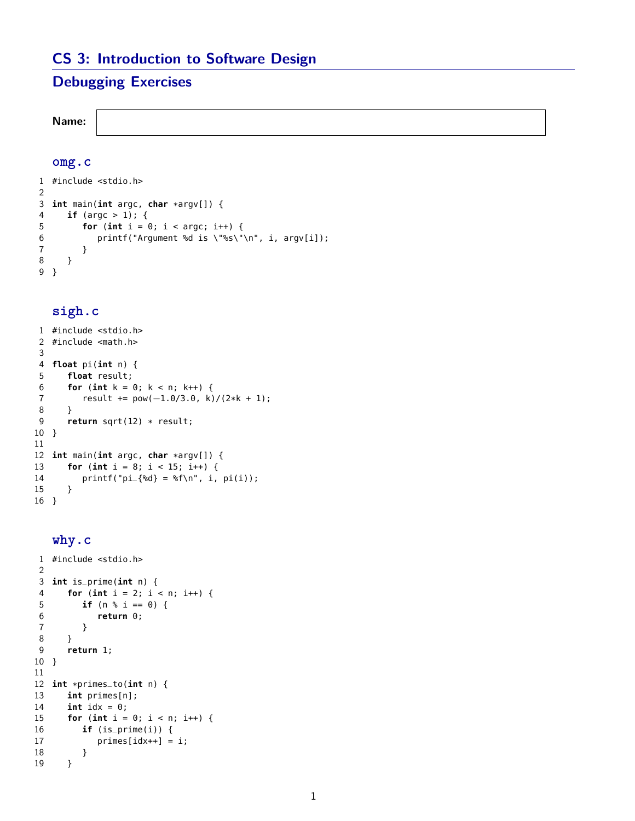# **CS 3: Introduction to Software Design**

# **Debugging Exercises**

**Name:**

### **omg.c**

```
1 #include <stdio.h>
2
3 int main(int argc, char *argv[]) {
     if (argc > 1); {
5 for (int i = 0; i < argc; i++) {
6 printf("Argument %d is \"%s\"\n", i, argv[i]);
7 }
8 }
9 }
```
## **sigh.c**

```
1 #include <stdio.h>
2 #include <math.h>
3
4 float pi(int n) {
5 float result;
6 for (int k = 0; k < n; k++) {
7 result += pow(-1.0/3.0, k)/(2*k + 1);<br>8 }
      8 }
9 return sqrt(12) * result;
10 }
11
12 int main(int argc, char *argv[]) {
      for (int i = 8; i < 15; i++) {
14 printf("pi_{8d} = %f\n", i, pi(i));15 }
16 }
```
### **why.c**

```
1 #include <stdio.h>
2
3 int is_prime(int n) {
4 for (int i = 2; i < n; i++) {
5 if (n % i == 0) {
6 return 0;
7 }
8 }
9 return 1;
10 }
11
12 int *primes_to(int n) {
     int primes[n];
14 int idx = 0;
15 for (int i = 0; i < n; i++) {<br>16 if (is_prime(i)) {
        if (is\_prime(i)) {
17 primes[idx++] = i;18 }
19 }
```